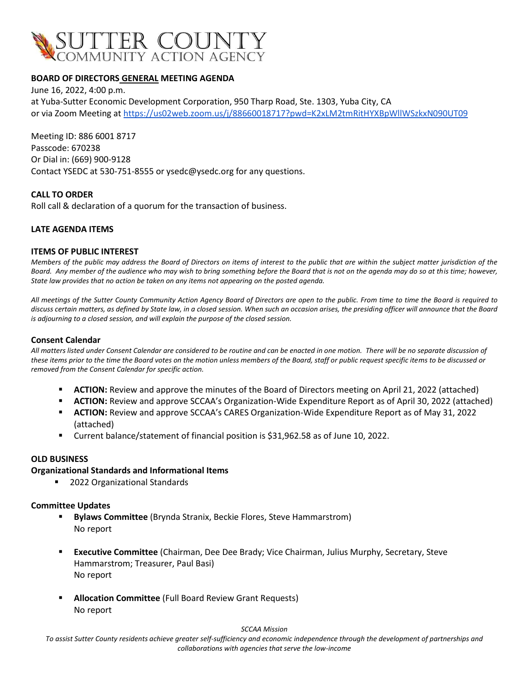

## **BOARD OF DIRECTORS GENERAL MEETING AGENDA**

June 16, 2022, 4:00 p.m. at Yuba-Sutter Economic Development Corporation, 950 Tharp Road, Ste. 1303, Yuba City, CA or via Zoom Meeting at <https://us02web.zoom.us/j/88660018717?pwd=K2xLM2tmRitHYXBpWllWSzkxN090UT09>

Meeting ID: 886 6001 8717 Passcode: 670238 Or Dial in: (669) 900-9128 Contact YSEDC at 530-751-8555 or ysedc@ysedc.org for any questions.

## **CALL TO ORDER**

Roll call & declaration of a quorum for the transaction of business.

## **LATE AGENDA ITEMS**

### **ITEMS OF PUBLIC INTEREST**

*Members of the public may address the Board of Directors on items of interest to the public that are within the subject matter jurisdiction of the Board. Any member of the audience who may wish to bring something before the Board that is not on the agenda may do so at this time; however, State law provides that no action be taken on any items not appearing on the posted agenda.*

*All meetings of the Sutter County Community Action Agency Board of Directors are open to the public. From time to time the Board is required to discuss certain matters, as defined by State law, in a closed session. When such an occasion arises, the presiding officer will announce that the Board is adjourning to a closed session, and will explain the purpose of the closed session.*

### **Consent Calendar**

*All matters listed under Consent Calendar are considered to be routine and can be enacted in one motion. There will be no separate discussion of these items prior to the time the Board votes on the motion unless members of the Board, staff or public request specific items to be discussed or removed from the Consent Calendar for specific action.*

- **EXTION:** Review and approve the minutes of the Board of Directors meeting on April 21, 2022 (attached)
- **ACTION:** Review and approve SCCAA's Organization-Wide Expenditure Report as of April 30, 2022 (attached)
- **EXTION:** Review and approve SCCAA's CARES Organization-Wide Expenditure Report as of May 31, 2022 (attached)
- Current balance/statement of financial position is \$31,962.58 as of June 10, 2022.

### **OLD BUSINESS**

## **Organizational Standards and Informational Items**

2022 Organizational Standards

### **Committee Updates**

- **Bylaws Committee** (Brynda Stranix, Beckie Flores, Steve Hammarstrom) No report
- **Executive Committee** (Chairman, Dee Dee Brady; Vice Chairman, Julius Murphy, Secretary, Steve Hammarstrom; Treasurer, Paul Basi) No report
- **Allocation Committee** (Full Board Review Grant Requests) No report

#### *SCCAA Mission*

*To assist Sutter County residents achieve greater self-sufficiency and economic independence through the development of partnerships and collaborations with agencies that serve the low-income*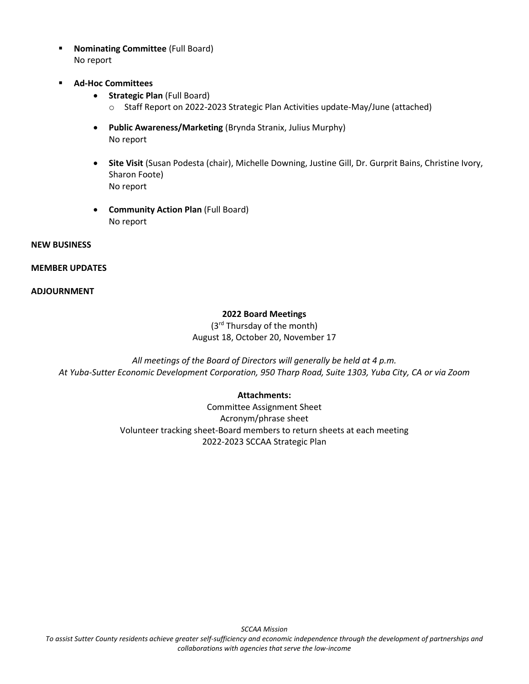- **Nominating Committee** (Full Board) No report
- **Ad-Hoc Committees**
	- **Strategic Plan** (Full Board)
		- o Staff Report on 2022-2023 Strategic Plan Activities update-May/June (attached)
	- **Public Awareness/Marketing** (Brynda Stranix, Julius Murphy) No report
	- **Site Visit** (Susan Podesta (chair), Michelle Downing, Justine Gill, Dr. Gurprit Bains, Christine Ivory, Sharon Foote) No report
	- **Community Action Plan** (Full Board) No report

## **NEW BUSINESS**

## **MEMBER UPDATES**

## **ADJOURNMENT**

# **2022 Board Meetings**

(3rd Thursday of the month) August 18, October 20, November 17

*All meetings of the Board of Directors will generally be held at 4 p.m. At Yuba-Sutter Economic Development Corporation, 950 Tharp Road, Suite 1303, Yuba City, CA or via Zoom*

## **Attachments:**

Committee Assignment Sheet Acronym/phrase sheet Volunteer tracking sheet-Board members to return sheets at each meeting 2022-2023 SCCAA Strategic Plan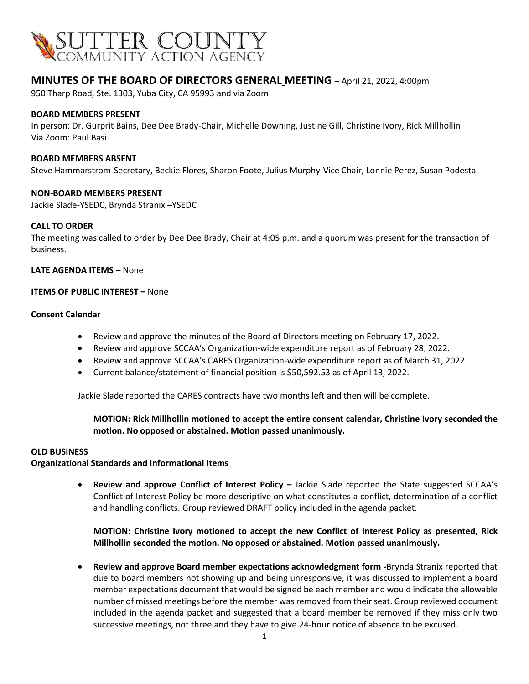

# **MINUTES OF THE BOARD OF DIRECTORS GENERAL MEETING** – April 21, 2022, 4:00pm

950 Tharp Road, Ste. 1303, Yuba City, CA 95993 and via Zoom

### **BOARD MEMBERS PRESENT**

In person: Dr. Gurprit Bains, Dee Dee Brady-Chair, Michelle Downing, Justine Gill, Christine Ivory, Rick Millhollin Via Zoom: Paul Basi

### **BOARD MEMBERS ABSENT**

Steve Hammarstrom-Secretary, Beckie Flores, Sharon Foote, Julius Murphy-Vice Chair, Lonnie Perez, Susan Podesta

### **NON-BOARD MEMBERS PRESENT**

Jackie Slade-YSEDC, Brynda Stranix –YSEDC

### **CALL TO ORDER**

The meeting was called to order by Dee Dee Brady, Chair at 4:05 p.m. and a quorum was present for the transaction of business.

### **LATE AGENDA ITEMS –** None

### **ITEMS OF PUBLIC INTEREST –** None

#### **Consent Calendar**

- Review and approve the minutes of the Board of Directors meeting on February 17, 2022.
- Review and approve SCCAA's Organization-wide expenditure report as of February 28, 2022.
- Review and approve SCCAA's CARES Organization-wide expenditure report as of March 31, 2022.
- Current balance/statement of financial position is \$50,592.53 as of April 13, 2022.

Jackie Slade reported the CARES contracts have two months left and then will be complete.

## **MOTION: Rick Millhollin motioned to accept the entire consent calendar, Christine Ivory seconded the motion. No opposed or abstained. Motion passed unanimously.**

### **OLD BUSINESS**

## **Organizational Standards and Informational Items**

• **Review and approve Conflict of Interest Policy –** Jackie Slade reported the State suggested SCCAA's Conflict of Interest Policy be more descriptive on what constitutes a conflict, determination of a conflict and handling conflicts. Group reviewed DRAFT policy included in the agenda packet.

## **MOTION: Christine Ivory motioned to accept the new Conflict of Interest Policy as presented, Rick Millhollin seconded the motion. No opposed or abstained. Motion passed unanimously.**

• **Review and approve Board member expectations acknowledgment form -**Brynda Stranix reported that due to board members not showing up and being unresponsive, it was discussed to implement a board member expectations document that would be signed be each member and would indicate the allowable number of missed meetings before the member was removed from their seat. Group reviewed document included in the agenda packet and suggested that a board member be removed if they miss only two successive meetings, not three and they have to give 24-hour notice of absence to be excused.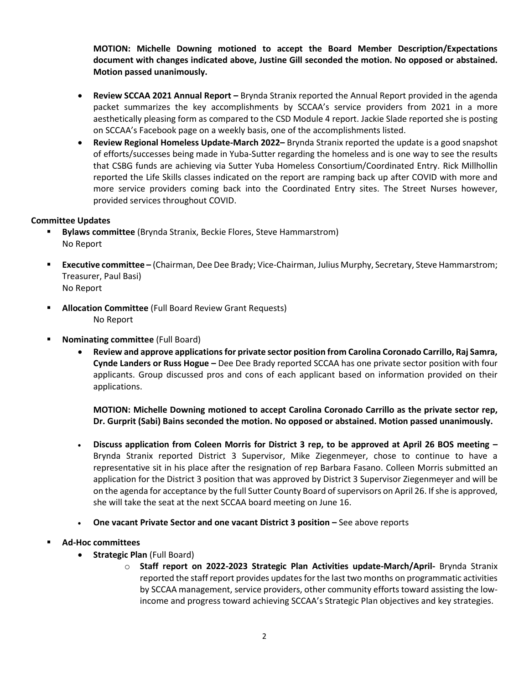**MOTION: Michelle Downing motioned to accept the Board Member Description/Expectations document with changes indicated above, Justine Gill seconded the motion. No opposed or abstained. Motion passed unanimously.** 

- **Review SCCAA 2021 Annual Report –** Brynda Stranix reported the Annual Report provided in the agenda packet summarizes the key accomplishments by SCCAA's service providers from 2021 in a more aesthetically pleasing form as compared to the CSD Module 4 report. Jackie Slade reported she is posting on SCCAA's Facebook page on a weekly basis, one of the accomplishments listed.
- **Review Regional Homeless Update-March 2022–** Brynda Stranix reported the update is a good snapshot of efforts/successes being made in Yuba-Sutter regarding the homeless and is one way to see the results that CSBG funds are achieving via Sutter Yuba Homeless Consortium/Coordinated Entry. Rick Millhollin reported the Life Skills classes indicated on the report are ramping back up after COVID with more and more service providers coming back into the Coordinated Entry sites. The Street Nurses however, provided services throughout COVID.

## **Committee Updates**

- **Bylaws committee** (Brynda Stranix, Beckie Flores, Steve Hammarstrom) No Report
- **Executive committee –** (Chairman, Dee Dee Brady; Vice-Chairman, Julius Murphy, Secretary, Steve Hammarstrom; Treasurer, Paul Basi) No Report
- **Allocation Committee** (Full Board Review Grant Requests) No Report
- **Nominating committee** (Full Board)
	- **Review and approve applications for private sector position from Carolina Coronado Carrillo, Raj Samra, Cynde Landers or Russ Hogue –** Dee Dee Brady reported SCCAA has one private sector position with four applicants. Group discussed pros and cons of each applicant based on information provided on their applications.

**MOTION: Michelle Downing motioned to accept Carolina Coronado Carrillo as the private sector rep, Dr. Gurprit (Sabi) Bains seconded the motion. No opposed or abstained. Motion passed unanimously.** 

- **Discuss application from Coleen Morris for District 3 rep, to be approved at April 26 BOS meeting –** Brynda Stranix reported District 3 Supervisor, Mike Ziegenmeyer, chose to continue to have a representative sit in his place after the resignation of rep Barbara Fasano. Colleen Morris submitted an application for the District 3 position that was approved by District 3 Supervisor Ziegenmeyer and will be on the agenda for acceptance by the full Sutter County Board of supervisors on April 26. If she is approved, she will take the seat at the next SCCAA board meeting on June 16.
- **One vacant Private Sector and one vacant District 3 position –** See above reports

# ▪ **Ad-Hoc committees**

- **Strategic Plan** (Full Board)
	- o **Staff report on 2022-2023 Strategic Plan Activities update-March/April-** Brynda Stranix reported the staff report provides updates for the last two months on programmatic activities by SCCAA management, service providers, other community efforts toward assisting the lowincome and progress toward achieving SCCAA's Strategic Plan objectives and key strategies.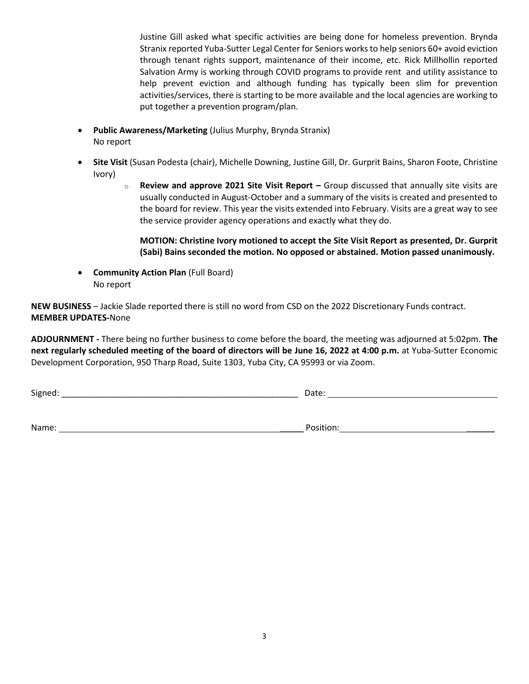Justine Gill asked what specific activities are being done for homeless prevention. Brynda Stranix reported Yuba-Sutter Legal Center for Seniors works to help seniors 60+ avoid eviction through tenant rights support, maintenance of their income, etc. Rick Millhollin reported Salvation Army is working through COVID programs to provide rent and utility assistance to help prevent eviction and although funding has typically been slim for prevention activities/services, there is starting to be more available and the local agencies are working to put together a prevention program/plan.

- **Public Awareness/Marketing** (Julius Murphy, Brynda Stranix) No report
- **Site Visit** (Susan Podesta (chair), Michelle Downing, Justine Gill, Dr. Gurprit Bains, Sharon Foote, Christine Ivory)
	- o **Review and approve 2021 Site Visit Report –** Group discussed that annually site visits are usually conducted in August-October and a summary of the visits is created and presented to the board for review. This year the visits extended into February. Visits are a great way to see the service provider agency operations and exactly what they do.

**MOTION: Christine Ivory motioned to accept the Site Visit Report as presented, Dr. Gurprit (Sabi) Bains seconded the motion. No opposed or abstained. Motion passed unanimously.** 

• **Community Action Plan** (Full Board) No report

**NEW BUSINESS** – Jackie Slade reported there is still no word from CSD on the 2022 Discretionary Funds contract. **MEMBER UPDATES-**None

**ADJOURNMENT -** There being no further business to come before the board, the meeting was adjourned at 5:02pm. **The next regularly scheduled meeting of the board of directors will be June 16, 2022 at 4:00 p.m.** at Yuba-Sutter Economic Development Corporation, 950 Tharp Road, Suite 1303, Yuba City, CA 95993 or via Zoom.

 ${\sf Signed:}\_\_$ 

Name: \_\_\_\_\_ Position: \_\_\_\_\_\_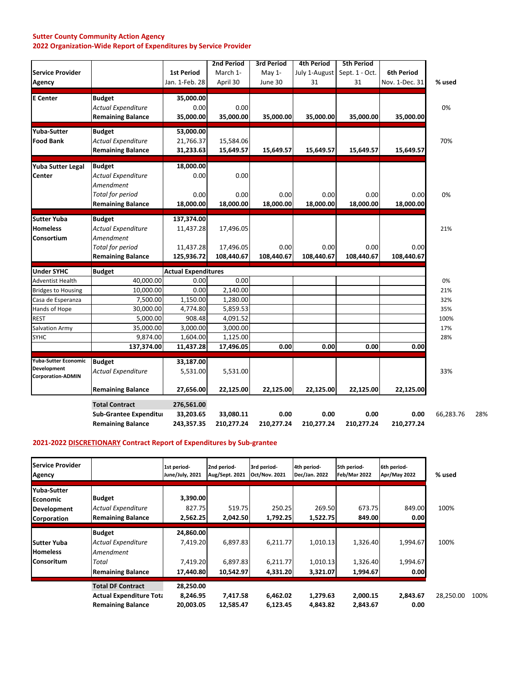### **Sutter County Community Action Agency 2022 Organization‐Wide Report of Expenditures by Service Provider**

|                                           | <b>Sub-Grantee Expenditur</b><br><b>Remaining Balance</b> | 33,203.65<br>243,357.35    | 33,080.11<br>210,277.24 | 0.00<br>210,277.24            | 0.00<br>210,277.24                 | 0.00<br>210,277.24                  | 0.00<br>210,277.24 | 66,283.76 |
|-------------------------------------------|-----------------------------------------------------------|----------------------------|-------------------------|-------------------------------|------------------------------------|-------------------------------------|--------------------|-----------|
|                                           | <b>Total Contract</b>                                     | 276,561.00                 |                         |                               |                                    |                                     |                    |           |
|                                           | <b>Remaining Balance</b>                                  | 27,656.00                  | 22,125.00               | 22,125.00                     | 22,125.00                          | 22,125.00                           | 22,125.00          |           |
| Development<br><b>Corporation-ADMIN</b>   | <b>Actual Expenditure</b>                                 | 5,531.00                   | 5,531.00                |                               |                                    |                                     |                    | 33%       |
| Yuba-Sutter Economic                      | <b>Budget</b>                                             | 33,187.00                  |                         |                               |                                    |                                     |                    |           |
|                                           | 137,374.00                                                | 11,437.28                  | 17,496.05               | 0.00                          | 0.00                               | 0.00                                | 0.00               |           |
| <b>SYHC</b>                               | 9,874.00                                                  | 1,604.00                   | 1,125.00                |                               |                                    |                                     |                    | 28%       |
| <b>Salvation Army</b>                     | 35,000.00                                                 | 3,000.00                   | 3,000.00                |                               |                                    |                                     |                    | 17%       |
| <b>REST</b>                               | 5,000.00                                                  | 908.48                     | 4,091.52                |                               |                                    |                                     |                    | 100%      |
| Hands of Hope                             | 30,000.00                                                 | 4,774.80                   | 5,859.53                |                               |                                    |                                     |                    | 35%       |
| Casa de Esperanza                         | 7,500.00                                                  | 1,150.00                   | 1,280.00                |                               |                                    |                                     |                    | 32%       |
| <b>Bridges to Housing</b>                 | 10,000.00                                                 | 0.00                       | 2,140.00                |                               |                                    |                                     |                    | 21%       |
| <b>Adventist Health</b>                   | 40,000.00                                                 | 0.00                       | 0.00                    |                               |                                    |                                     |                    | 0%        |
| <b>Under SYHC</b>                         | <b>Budget</b>                                             | <b>Actual Expenditures</b> |                         |                               |                                    |                                     |                    |           |
|                                           | <b>Total for period</b><br><b>Remaining Balance</b>       | 11,437.28<br>125,936.72    | 17,496.05<br>108,440.67 | 0.00<br>108,440.67            | 0.00<br>108,440.67                 | 0.00<br>108,440.67                  | 0.00<br>108,440.67 |           |
| <b>Homeless</b><br>Consortium             | <b>Actual Expenditure</b><br>Amendment                    | 11,437.28                  | 17,496.05               |                               |                                    |                                     |                    | 21%       |
| <b>Sutter Yuba</b>                        | <b>Budget</b>                                             | 137,374.00                 |                         |                               |                                    |                                     |                    |           |
|                                           | <b>Total for period</b><br><b>Remaining Balance</b>       | 0.00<br>18,000.00          | 0.00<br>18,000.00       | 0.00<br>18,000.00             | 0.00<br>18,000.00                  | 0.00<br>18,000.00                   | 0.00<br>18,000.00  | 0%        |
| <b>Yuba Sutter Legal</b><br><b>Center</b> | <b>Budget</b><br><b>Actual Expenditure</b><br>Amendment   | 18,000.00<br>0.00          | 0.00                    |                               |                                    |                                     |                    |           |
|                                           | <b>Remaining Balance</b>                                  | 31,233.63                  | 15,649.57               | 15,649.57                     | 15,649.57                          | 15,649.57                           | 15,649.57          |           |
| <b>Yuba-Sutter</b><br><b>Food Bank</b>    | <b>Budget</b><br><b>Actual Expenditure</b>                | 53,000.00<br>21,766.37     | 15,584.06               |                               |                                    |                                     |                    | 70%       |
| <b>E</b> Center                           | <b>Actual Expenditure</b><br><b>Remaining Balance</b>     | 0.00<br>35,000.00          | 0.00<br>35,000.00       | 35,000.00                     | 35,000.00                          | 35,000.00                           | 35,000.00          | 0%        |
|                                           | <b>Budget</b>                                             | 35,000.00                  |                         |                               |                                    |                                     |                    |           |
| Agency                                    |                                                           | Jan. 1-Feb. 28             | April 30                | June 30                       | 31                                 | 31                                  | Nov. 1-Dec. 31     | % used    |
| <b>Service Provider</b>                   |                                                           | <b>1st Period</b>          | 2nd Period<br>March 1-  | <b>3rd Period</b><br>May $1-$ | <b>4th Period</b><br>July 1-August | <b>5th Period</b><br>Sept. 1 - Oct. | <b>6th Period</b>  |           |

## **2021‐2022 DISCRETIONARY Contract Report of Expenditures by Sub‐grantee**

| <b>Service Provider</b><br>Agency     |                                                                                        | 1st period-<br>June/July, 2021     | 2nd period-<br>Aug/Sept. 2021 | 3rd period-<br><b>Oct/Nov. 2021</b> | 4th period-<br>Dec/Jan. 2022 | 5th period-<br>Feb/Mar 2022 | 6th period-<br>Apr/May 2022 | % used    |      |
|---------------------------------------|----------------------------------------------------------------------------------------|------------------------------------|-------------------------------|-------------------------------------|------------------------------|-----------------------------|-----------------------------|-----------|------|
| Yuba-Sutter<br>Economic               | <b>Budget</b><br><b>Actual Expenditure</b>                                             | 3,390.00<br>827.75                 | 519.75                        | 250.25                              | 269.50                       | 673.75                      | 849.00                      | 100%      |      |
| <b>Development</b><br>Corporation     | <b>Remaining Balance</b>                                                               | 2,562.25                           | 2,042.50                      | 1,792.25                            | 1,522.75                     | 849.00                      | 0.00                        |           |      |
|                                       | <b>Budget</b>                                                                          | 24,860.00                          |                               |                                     |                              |                             |                             |           |      |
| <b>Sutter Yuba</b><br><b>Homeless</b> | <b>Actual Expenditure</b><br>Amendment                                                 | 7,419.20                           | 6,897.83                      | 6,211.77                            | 1,010.13                     | 1,326.40                    | 1,994.67                    | 100%      |      |
| <b>Consoritum</b>                     | Total<br><b>Remaining Balance</b>                                                      | 7,419.20<br>17,440.80              | 6,897.83<br>10,542.97         | 6,211.77<br>4,331.20                | 1,010.13<br>3,321.07         | 1,326.40<br>1,994.67        | 1,994.67<br>0.00            |           |      |
|                                       | <b>Total DF Contract</b><br><b>Actual Expenditure Tota</b><br><b>Remaining Balance</b> | 28,250.00<br>8,246.95<br>20,003.05 | 7,417.58<br>12,585.47         | 6,462.02<br>6,123.45                | 1,279.63<br>4,843.82         | 2,000.15<br>2,843.67        | 2,843.67<br>0.00            | 28,250.00 | 100% |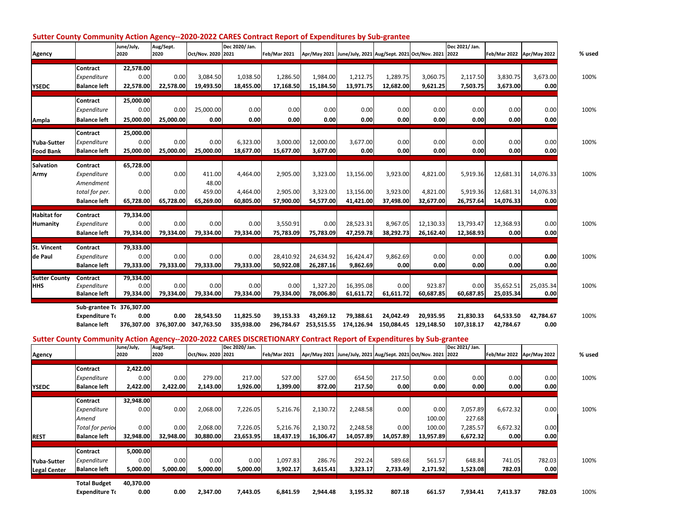| Agency                                |                                                                               | June/July,<br>2020                     | Aug/Sept.<br>2020         | Oct/Nov. 2020 2021                     | Dec 2020/ Jan.                    | Feb/Mar 2021                      |                                   | Apr/May 2021 June/July, 2021 Aug/Sept. 2021 Oct/Nov. 2021 2022 |                                   |                                   | Dec 2021/ Jan.                    | Feb/Mar 2022 Apr/May 2022           |                                | % used |
|---------------------------------------|-------------------------------------------------------------------------------|----------------------------------------|---------------------------|----------------------------------------|-----------------------------------|-----------------------------------|-----------------------------------|----------------------------------------------------------------|-----------------------------------|-----------------------------------|-----------------------------------|-------------------------------------|--------------------------------|--------|
| <b>YSEDC</b>                          | <b>Contract</b><br>Expenditure<br><b>Balance left</b>                         | 22,578.00<br>0.00<br>22,578.00         | 0.00<br>22,578.00         | 3,084.50<br>19,493.50                  | 1,038.50<br>18,455.00             | 1,286.50<br>17,168.50             | 1,984.00<br>15,184.50             | 1,212.75<br>13,971.75                                          | 1,289.75<br>12,682.00             | 3,060.75<br>9,621.25              | 2,117.50<br>7,503.75              | 3,830.75<br>3,673.00                | 3,673.00<br>0.00               | 100%   |
| Ampla                                 | <b>Contract</b><br>Expenditure<br><b>Balance left</b>                         | 25,000.00<br>0.00<br>25,000.00         | 0.00<br>25,000.00         | 25,000.00<br>0.00                      | 0.00<br>0.00                      | 0.00<br>0.00                      | 0.00<br>0.00                      | 0.00<br>0.00                                                   | 0.00<br>0.00                      | 0.00<br>0.00                      | 0.00<br>0.00                      | 0.00<br>0.00                        | 0.00<br>0.00                   | 100%   |
| Yuba-Sutter<br><b>Food Bank</b>       | Contract<br>Expenditure<br><b>Balance left</b>                                | 25,000.00<br>0.00<br>25,000.00         | 0.00<br>25,000.00         | 0.00<br>25,000.00                      | 6,323.00<br>18,677.00             | 3,000.00<br>15,677.00             | 12,000.00<br>3,677.00             | 3,677.00<br>0.00                                               | 0.00<br>0.00                      | 0.00<br>0.00                      | 0.00<br>0.00                      | 0.00<br>0.00                        | 0.00<br>0.00                   | 100%   |
| <b>Salvation</b><br>Army              | Contract<br>Expenditure<br>Amendment<br>total for per.<br><b>Balance left</b> | 65,728.00<br>0.00<br>0.00<br>65,728.00 | 0.00<br>0.00<br>65,728.00 | 411.00<br>48.00<br>459.00<br>65,269.00 | 4,464.00<br>4,464.00<br>60,805.00 | 2,905.00<br>2,905.00<br>57,900.00 | 3,323.00<br>3,323.00<br>54,577.00 | 13,156.00<br>13,156.00<br>41,421.00                            | 3,923.00<br>3,923.00<br>37,498.00 | 4,821.00<br>4,821.00<br>32,677.00 | 5,919.36<br>5,919.36<br>26,757.64 | 12,681.31<br>12,681.31<br>14,076.33 | 14,076.33<br>14,076.33<br>0.00 | 100%   |
| <b>Habitat for</b><br><b>Humanity</b> | Contract<br>Expenditure<br><b>Balance left</b>                                | 79,334.00<br>0.00<br>79,334.00         | 0.00<br>79,334.00         | 0.00<br>79,334.00                      | 0.00<br>79,334.00                 | 3,550.91<br>75,783.09             | 0.00<br>75,783.09                 | 28,523.31<br>47,259.78                                         | 8,967.05<br>38,292.73             | 12,130.33<br>26,162.40            | 13,793.47<br>12,368.93            | 12,368.93<br>0.00                   | 0.00<br>0.00                   | 100%   |
| <b>St. Vincent</b><br>de Paul         | Contract<br>Expenditure<br><b>Balance left</b>                                | 79,333.00<br>0.00<br>79,333.00         | 0.00<br>79,333.00         | 0.00<br>79,333.00                      | 0.00<br>79,333.00                 | 28,410.92<br>50,922.08            | 24,634.92<br>26,287.16            | 16,424.47<br>9,862.69                                          | 9,862.69<br>0.00                  | 0.00<br>0.00                      | 0.00<br>0.00                      | 0.00<br>0.00                        | 0.00<br>0.00                   | 100%   |
| <b>Sutter County</b><br>Іннs          | Contract<br>Expenditure<br><b>Balance left</b>                                | 79,334.00<br>0.00<br>79,334.00         | 0.00<br>79,334.00         | 0.00<br>79,334.00                      | 0.00<br>79,334.00                 | 0.00<br>79,334.00                 | 1,327.20<br>78,006.80             | 16,395.08<br>61,611.72                                         | 0.00<br>61,611.72                 | 923.87<br>60,687.85               | 0.00<br>60,687.85                 | 35,652.51<br>25,035.34              | 25,035.34<br>0.00              | 100%   |
|                                       | Sub-grantee T( 376,307.00<br><b>Expenditure To</b><br><b>Balance left</b>     | 0.00<br>376,307.00                     | 0.00<br>376,307.00        | 28,543.50<br>347,763.50                | 11,825.50<br>335,938.00           | 39,153.33<br>296,784.67           | 43.269.12<br>253,515.55           | 79.388.61<br>174.126.94                                        | 24.042.49<br>150.084.45           | 20.935.95<br>129.148.50           | 21,830.33<br>107,318.17           | 64,533.50<br>42.784.67              | 42,784.67<br>0.00              | 100%   |

#### Sutter County Community Action Agency--2020-2022 CARES Contract Report of Expenditures by Sub-grantee

Sutter County Community Action Agency--2020-2022 CARES DISCRETIONARY Contract Report of Expenditures by Sub-grantee

| Agency              |                         | June/July,<br>2020 | -<br>Aug/Sept.<br>2020 | Oct/Nov. 2020 2021 | Dec 2020/ Jan. | <b>Feb/Mar 2021</b> |           | Apr/May 2021 June/July, 2021 Aug/Sept. 2021 Oct/Nov. 2021 2022 |           | -            | Dec 2021/ Jan. |          | Feb/Mar 2022 Apr/May 2022 | % used |
|---------------------|-------------------------|--------------------|------------------------|--------------------|----------------|---------------------|-----------|----------------------------------------------------------------|-----------|--------------|----------------|----------|---------------------------|--------|
|                     | Contract<br>Expenditure | 2,422.00<br>0.00   | 0.00                   | 279.00             | 217.00         | 527.00              | 527.00    | 654.50                                                         | 217.50    |              | 0.00           | 0.00     | 0.00                      | 100%   |
| <b>YSEDC</b>        | <b>Balance left</b>     | 2,422.00           | 2,422.00               | 2,143.00           | 1,926.00       | 1,399.00            | 872.00    | 217.50                                                         | 0.00      | 0.00<br>0.00 | 0.00           | 0.00     | 0.00                      |        |
|                     | Contract                | 32,948.00          |                        |                    |                |                     |           |                                                                |           |              |                |          |                           |        |
|                     | Expenditure             | 0.00               | 0.00                   | 2,068.00           | 7,226.05       | 5,216.76            | 2,130.72  | 2,248.58                                                       | 0.00      | 0.00         | 7,057.89       | 6,672.32 | 0.00                      | 100%   |
|                     | Amend                   |                    |                        |                    |                |                     |           |                                                                |           | 100.00       | 227.68         |          |                           |        |
|                     | <b>Total for period</b> | 0.00               | 0.00                   | 2,068.00           | 7,226.05       | 5,216.76            | 2,130.72  | 2,248.58                                                       | 0.00      | 100.00       | 7,285.57       | 6,672.32 | 0.00                      |        |
| <b>REST</b>         | <b>Balance left</b>     | 32,948.00          | 32,948.00              | 30,880.00          | 23,653.95      | 18,437.19           | 16,306.47 | 14,057.89                                                      | 14,057.89 | 13,957.89    | 6,672.32       | 0.00     | 0.00                      |        |
|                     | Contract                | 5,000.00           |                        |                    |                |                     |           |                                                                |           |              |                |          |                           |        |
| <b>Yuba-Sutter</b>  | Expenditure             | 0.00               | 0.00                   | 0.00               | 0.00           | 1,097.83            | 286.76    | 292.24                                                         | 589.68    | 561.57       | 648.84         | 741.05   | 782.03                    | 100%   |
| <b>Legal Center</b> | <b>Balance left</b>     | 5,000.00           | 5,000.00               | 5,000.00           | 5,000.00       | 3,902.17            | 3,615.41  | 3,323.17                                                       | 2,733.49  | 2,171.92     | 1,523.08       | 782.03   | 0.00                      |        |
|                     | <b>Total Budget</b>     | 40,370.00          |                        |                    |                |                     |           |                                                                |           |              |                |          |                           |        |
|                     | <b>Expenditure To</b>   | 0.00               | 0.00                   | 2,347.00           | 7,443.05       | 6,841.59            | 2,944.48  | 3,195.32                                                       | 807.18    | 661.57       | 7,934.41       | 7,413.37 | 782.03                    | 100%   |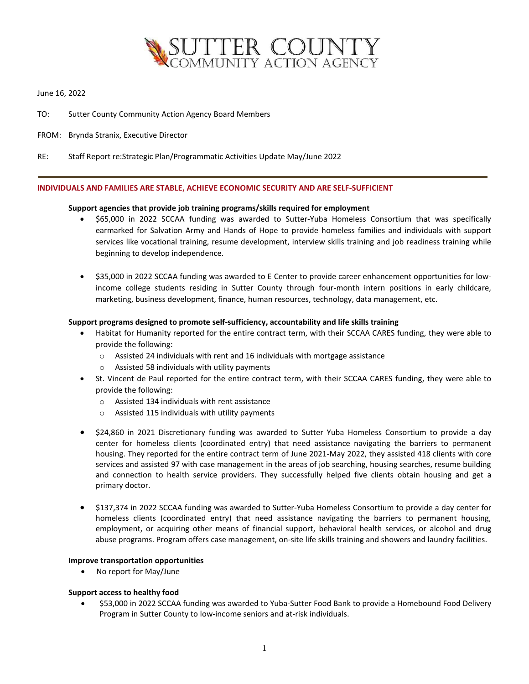

### June 16, 2022

- TO: Sutter County Community Action Agency Board Members
- FROM: Brynda Stranix, Executive Director
- RE: Staff Report re:Strategic Plan/Programmatic Activities Update May/June 2022

#### **INDIVIDUALS AND FAMILIES ARE STABLE, ACHIEVE ECONOMIC SECURITY AND ARE SELF-SUFFICIENT**

#### **Support agencies that provide job training programs/skills required for employment**

- \$65,000 in 2022 SCCAA funding was awarded to Sutter-Yuba Homeless Consortium that was specifically earmarked for Salvation Army and Hands of Hope to provide homeless families and individuals with support services like vocational training, resume development, interview skills training and job readiness training while beginning to develop independence.
- \$35,000 in 2022 SCCAA funding was awarded to E Center to provide career enhancement opportunities for lowincome college students residing in Sutter County through four-month intern positions in early childcare, marketing, business development, finance, human resources, technology, data management, etc.

#### **Support programs designed to promote self-sufficiency, accountability and life skills training**

- Habitat for Humanity reported for the entire contract term, with their SCCAA CARES funding, they were able to provide the following:
	- o Assisted 24 individuals with rent and 16 individuals with mortgage assistance
	- o Assisted 58 individuals with utility payments
- St. Vincent de Paul reported for the entire contract term, with their SCCAA CARES funding, they were able to provide the following:
	- $\circ$  Assisted 134 individuals with rent assistance
	- $\circ$  Assisted 115 individuals with utility payments
- \$24,860 in 2021 Discretionary funding was awarded to Sutter Yuba Homeless Consortium to provide a day center for homeless clients (coordinated entry) that need assistance navigating the barriers to permanent housing. They reported for the entire contract term of June 2021-May 2022, they assisted 418 clients with core services and assisted 97 with case management in the areas of job searching, housing searches, resume building and connection to health service providers. They successfully helped five clients obtain housing and get a primary doctor.
- \$137,374 in 2022 SCCAA funding was awarded to Sutter-Yuba Homeless Consortium to provide a day center for homeless clients (coordinated entry) that need assistance navigating the barriers to permanent housing, employment, or acquiring other means of financial support, behavioral health services, or alcohol and drug abuse programs. Program offers case management, on-site life skills training and showers and laundry facilities.

#### **Improve transportation opportunities**

• No report for May/June

#### **Support access to healthy food**

• \$53,000 in 2022 SCCAA funding was awarded to Yuba-Sutter Food Bank to provide a Homebound Food Delivery Program in Sutter County to low-income seniors and at-risk individuals.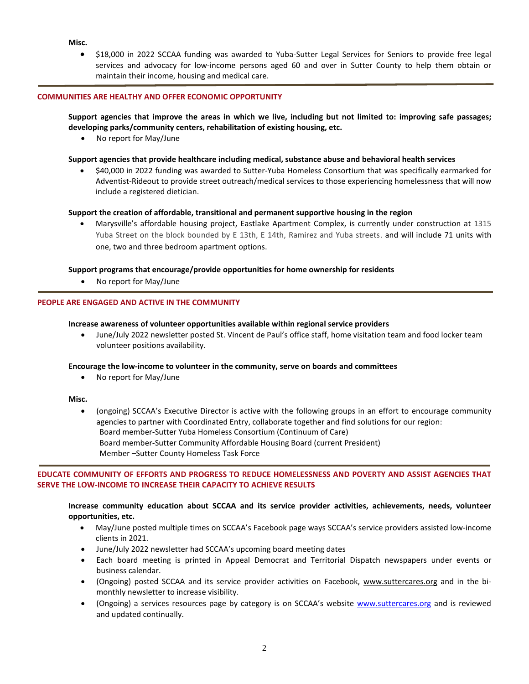#### **Misc.**

• \$18,000 in 2022 SCCAA funding was awarded to Yuba-Sutter Legal Services for Seniors to provide free legal services and advocacy for low-income persons aged 60 and over in Sutter County to help them obtain or maintain their income, housing and medical care.

#### **COMMUNITIES ARE HEALTHY AND OFFER ECONOMIC OPPORTUNITY**

### **Support agencies that improve the areas in which we live, including but not limited to: improving safe passages; developing parks/community centers, rehabilitation of existing housing, etc.**

• No report for May/June

#### **Support agencies that provide healthcare including medical, substance abuse and behavioral health services**

• \$40,000 in 2022 funding was awarded to Sutter-Yuba Homeless Consortium that was specifically earmarked for Adventist-Rideout to provide street outreach/medical services to those experiencing homelessness that will now include a registered dietician.

#### **Support the creation of affordable, transitional and permanent supportive housing in the region**

• Marysville's affordable housing project, Eastlake Apartment Complex, is currently under construction at 1315 Yuba Street on the block bounded by E 13th, E 14th, Ramirez and Yuba streets. and will include 71 units with one, two and three bedroom apartment options.

## **Support programs that encourage/provide opportunities for home ownership for residents**

• No report for May/June

#### **PEOPLE ARE ENGAGED AND ACTIVE IN THE COMMUNITY**

#### **Increase awareness of volunteer opportunities available within regional service providers**

• June/July 2022 newsletter posted St. Vincent de Paul's office staff, home visitation team and food locker team volunteer positions availability.

#### **Encourage the low-income to volunteer in the community, serve on boards and committees**

• No report for May/June

#### **Misc.**

• (ongoing) SCCAA's Executive Director is active with the following groups in an effort to encourage community agencies to partner with Coordinated Entry, collaborate together and find solutions for our region: Board member-Sutter Yuba Homeless Consortium (Continuum of Care) Board member-Sutter Community Affordable Housing Board (current President) Member –Sutter County Homeless Task Force

### **EDUCATE COMMUNITY OF EFFORTS AND PROGRESS TO REDUCE HOMELESSNESS AND POVERTY AND ASSIST AGENCIES THAT SERVE THE LOW-INCOME TO INCREASE THEIR CAPACITY TO ACHIEVE RESULTS**

### **Increase community education about SCCAA and its service provider activities, achievements, needs, volunteer opportunities, etc.**

- May/June posted multiple times on SCCAA's Facebook page ways SCCAA's service providers assisted low-income clients in 2021.
- June/July 2022 newsletter had SCCAA's upcoming board meeting dates
- Each board meeting is printed in Appeal Democrat and Territorial Dispatch newspapers under events or business calendar.
- (Ongoing) posted SCCAA and its service provider activities on Facebook, www.suttercares.org and in the bimonthly newsletter to increase visibility.
- (Ongoing) a services resources page by category is on SCCAA's website [www.suttercares.org](http://www.suttercares.org/) and is reviewed and updated continually.